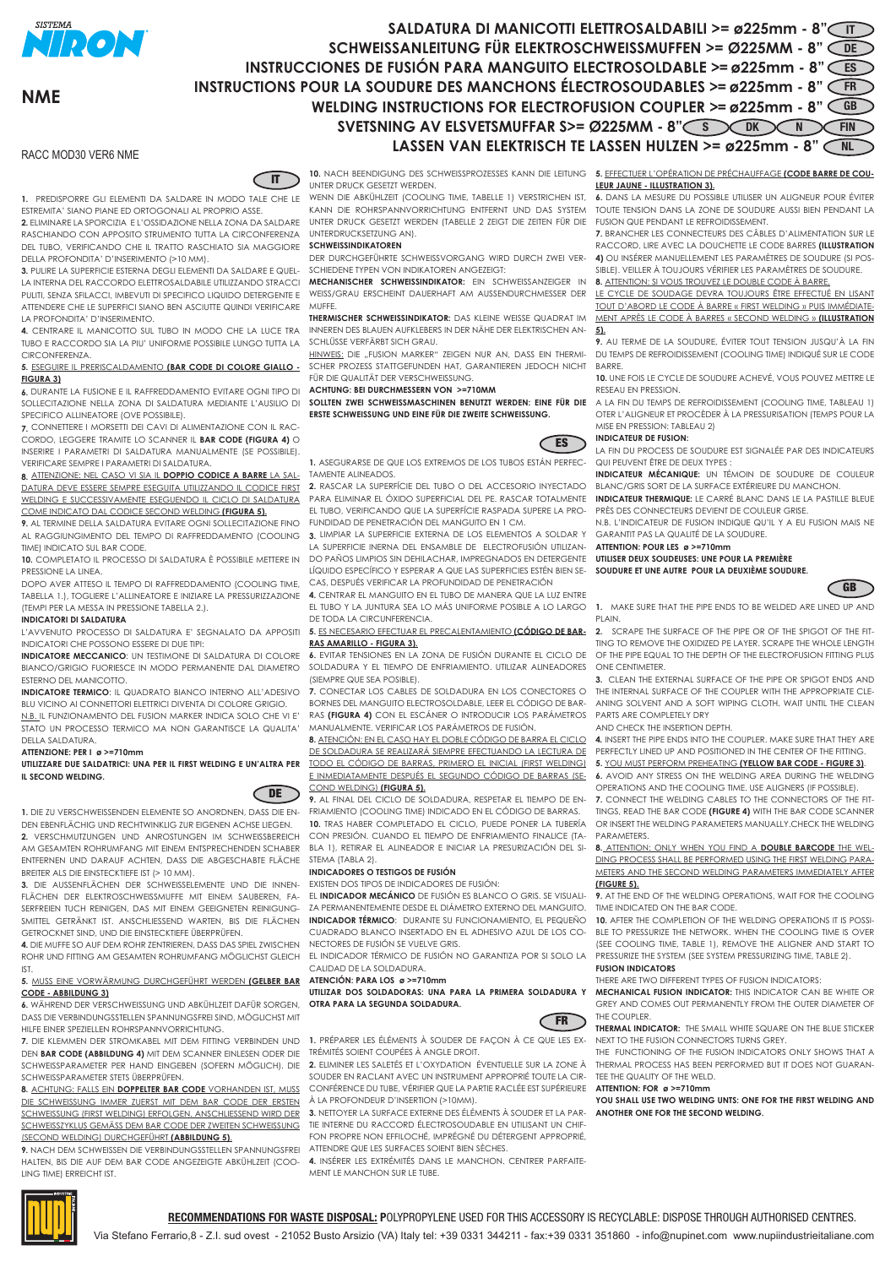

**NME**

# SALDATURA DI MANICOTTI ELETTROSALDABILI >= ø225mm - 8" **SCHWEISSANLEITUNG FÜR ELEKTROSCHWEISSMUFFEN >= Ø225MM - 8"** DE **INSTRUCCIONES DE FUSIÓN PARA MANGUITO ELECTROSOLDABLE >= ø225mm - 8" CES INSTRUCTIONS POUR LA SOUDURE DES MANCHONS ÉLECTROSOUDABLES >= ø225mm - 8"** FR **WELDING INSTRUCTIONS FOR ELECTROFUSION COUPLER >= ø225mm - 8"** GB **SVETSNING AV ELSVETSMUFFAR S>= Ø225MM - 8" SUBORD DK NOT FIN** LASSEN VAN ELEKTRISCH TE LASSEN HULZEN >= ø225mm - 8"

# RACC MOD30 VER6 NME

 $\overline{u}$ 

**1.** PREDISPORRE GLI ELEMENTI DA SALDARE IN MODO TALE CHE LE ESTREMITA' SIANO PIANE ED ORTOGONALI AL PROPRIO ASSE.

**2.** ELIMINARE LA SPORCIZIA E L'OSSIDAZIONE NELLA ZONA DA SALDARE RASCHIANDO CON APPOSITO STRUMENTO TUTTA LA CIRCONFERENZA DEL TUBO, VERIFICANDO CHE IL TRATTO RASCHIATO SIA MAGGIORE DELLA PROFONDITA' D'INSERIMENTO (>10 MM).

**3.** PULIRE LA SUPERFICIE ESTERNA DEGLI ELEMENTI DA SALDARE E QUEL-LA INTERNA DEL RACCORDO ELETTROSALDABILE UTILIZZANDO STRACCI PULITI, SENZA SFILACCI, IMBEVUTI DI SPECIFICO LIQUIDO DETERGENTE E ATTENDERE CHE LE SUPERFICI SIANO BEN ASCIUTTE QUINDI VERIFICARE LA PROFONDITA' D'INSERIMENTO.

**4.** CENTRARE IL MANICOTTO SUL TUBO IN MODO CHE LA LUCE TRA TUBO E RACCORDO SIA LA PIU' UNIFORME POSSIBILE LUNGO TUTTA LA **CIRCONFERENZA** 

**5.** ESEGUIRE IL PRERISCALDAMENTO **(BAR CODE DI COLORE GIALLO - FIGURA 3)**

**6.** DURANTE LA FUSIONE E IL RAFFREDDAMENTO EVITARE OGNI TIPO DI SOLLECITAZIONE NELLA ZONA DI SALDATURA MEDIANTE L'AUSILIO DI SPECIFICO ALLINEATORE (OVE POSSIBILE).

**7.** CONNETTERE I MORSETTI DEI CAVI DI ALIMENTAZIONE CON IL RAC-CORDO, LEGGERE TRAMITE LO SCANNER IL **BAR CODE (FIGURA 4)** O INSERIRE I PARAMETRI DI SALDATURA MANUALMENTE (SE POSSIBILE). VERIFICARE SEMPRE I PARAMETRI DI SALDATURA.

**8.** ATTENZIONE: NEL CASO VI SIA IL **DOPPIO CODICE A BARRE** LA SAL-DATURA DEVE ESSERE SEMPRE ESEGUITA UTILIZZANDO IL CODICE FIRST WELDING E SUCCESSIVAMENTE ESEGUENDO IL CICLO DI SALDATURA COME INDICATO DAL CODICE SECOND WELDING **(FIGURA 5).**

**9.** AL TERMINE DELLA SALDATURA EVITARE OGNI SOLLECITAZIONE FINO AL RAGGIUNGIMENTO DEL TEMPO DI RAFFREDDAMENTO (COOLING TIME) INDICATO SUL BAR CODE.

**10.** COMPLETATO IL PROCESSO DI SALDATURA È POSSIBILE METTERE IN PRESSIONE LA LINEA.

DOPO AVER ATTESO IL TEMPO DI RAFFREDDAMENTO (COOLING TIME, TABELLA 1.), TOGLIERE L'ALLINEATORE E INIZIARE LA PRESSURIZZAZIONE (TEMPI PER LA MESSA IN PRESSIONE TABELLA 2.).

# **INDICATORI DI SALDATURA**

L'AVVENUTO PROCESSO DI SALDATURA E' SEGNALATO DA APPOSITI INDICATORI CHE POSSONO ESSERE DI DUE TIPI:

**INDICATORE MECCANICO**: UN TESTIMONE DI SALDATURA DI COLORE BIANCO/GRIGIO FUORIESCE IN MODO PERMANENTE DAL DIAMETRO ESTERNO DEL MANICOTTO.

**INDICATORE TERMICO**: IL QUADRATO BIANCO INTERNO ALL'ADESIVO BLU VICINO AI CONNETTORI ELETTRICI DIVENTA DI COLORE GRIGIO. N.B. IL FUNZIONAMENTO DEL FUSION MARKER INDICA SOLO CHE VI E'

STATO UN PROCESSO TERMICO MA NON GARANTISCE LA QUALITA' DELLA SALDATURA. **ATTENZIONE: PER I ø >=710mm**

**UTILIZZARE DUE SALDATRICI: UNA PER IL FIRST WELDING E UN'ALTRA PER IL SECOND WELDING.**



**1.** DIE ZU VERSCHWEISSENDEN ELEMENTE SO ANORDNEN, DASS DIE EN-DEN EBENFLÄCHIG UND RECHTWINKLIG ZUR EIGENEN ACHSE LIEGEN. **2.** VERSCHMUTZUNGEN UND ANROSTUNGEN IM SCHWEISSBEREICH

AM GESAMTEN ROHRUMFANG MIT EINEM ENTSPRECHENDEN SCHABER ENTFERNEN UND DARAUF ACHTEN, DASS DIE ABGESCHABTE FLÄCHE BREITER ALS DIE EINSTECKTIEFE IST (> 10 MM).

**3.** DIE AUSSENFLÄCHEN DER SCHWEISSELEMENTE UND DIE INNEN-FLÄCHEN DER ELEKTROSCHWEISSMUFFE MIT EINEM SAUBEREN, FA-SERFREIEN TUCH REINIGEN, DAS MIT EINEM GEEIGNETEN REINIGUNG-SMITTEL GETRÄNKT IST. ANSCHLIESSEND WARTEN, BIS DIE FLÄCHEN GETROCKNET SIND, UND DIE EINSTECKTIEFE ÜBERPRÜFEN.

**4.** DIE MUFFE SO AUF DEM ROHR ZENTRIEREN, DASS DAS SPIEL ZWISCHEN ROHR UND FITTING AM GESAMTEN ROHRUMFANG MÖGLICHST GLEICH IST.

# **5.** MUSS EINE VORWÄRMUNG DURCHGEFÜHRT WERDEN **(GELBER BAR CODE - ABBILDUNG 3)**

**6.** WÄHREND DER VERSCHWEISSUNG UND ABKÜHLZEIT DAFÜR SORGEN, DASS DIE VERBINDUNGSSTELLEN SPANNUNGSFREI SIND, MÖGLICHST MIT HILFE EINER SPEZIELLEN ROHRSPANNVORRICHTUNG.

**7.** DIE KLEMMEN DER STROMKABEL MIT DEM FITTING VERBINDEN UND DEN **BAR CODE (ABBILDUNG 4)** MIT DEM SCANNER EINLESEN ODER DIE SCHWEISSPARAMETER PER HAND EINGEBEN (SOFERN MÖGLICH). DIE SCHWEISSPARAMETER STETS ÜBERPRÜFEN.

**8.** ACHTUNG: FALLS EIN **DOPPELTER BAR CODE** VORHANDEN IST, MUSS DIE SCHWEISSUNG IMMER ZUERST MIT DEM BAR CODE DER ERSTEN SCHWEISSUNG (FIRST WELDING) ERFOLGEN. ANSCHLIESSEND WIRD DER SCHWEISSZYKLUS GEMÄSS DEM BAR CODE DER ZWEITEN SCHWEISSUNG (SECOND WELDING) DURCHGEFÜHRT **(ABBILDUNG 5)**.

**9.** NACH DEM SCHWEISSEN DIE VERBINDUNGSSTELLEN SPANNUNGSFREI HALTEN, BIS DIE AUF DEM BAR CODE ANGEZEIGTE ABKÜHLZEIT (COO-LING TIME) ERREICHT IST.

UNTER DRUCK GESETZT WERDEN.

WENN DIE ABKÜHLZEIT (COOLING TIME, TABELLE 1) VERSTRICHEN IST, KANN DIE ROHRSPANNVORRICHTUNG ENTFERNT UND DAS SYSTEM UNTER DRUCK GESETZT WERDEN (TABELLE 2 ZEIGT DIE ZEITEN FÜR DIE UNTERDRUCKSETZUNG AN).

### **SCHWEISSINDIKATOREN**

DER DURCHGEFÜHRTE SCHWEISSVORGANG WIRD DURCH ZWEI VER-SCHIEDENE TYPEN VON INDIKATOREN ANGEZEIGT:

**MECHANISCHER SCHWEISSINDIKATOR:** EIN SCHWEISSANZEIGER IN WEISS/GRAU ERSCHEINT DAUERHAFT AM AUSSENDURCHMESSER DER MUFFE.

**THERMISCHER SCHWEISSINDIKATOR:** DAS KLEINE WEISSE QUADRAT IM INNEREN DES BLAUEN AUFKLEBERS IN DER NÄHE DER ELEKTRISCHEN AN-SCHLÜSSE VERFÄRBT SICH GRAU.

HINWEIS: DIE "FUSION MARKER" ZEIGEN NUR AN, DASS EIN THERMI-SCHER PROZESS STATTGEFUNDEN HAT, GARANTIEREN JEDOCH NICHT FÜR DIE QUALITÄT DER VERSCHWEISSUNG.

#### **ACHTUNG: BEI DURCHMESSERN VON >=710MM**

**SOLLTEN ZWEI SCHWEISSMASCHINEN BENUTZT WERDEN: EINE FÜR DIE ERSTE SCHWEISSUNG UND EINE FÜR DIE ZWEITE SCHWEISSUNG.**



**1***.* ASEGURARSE DE QUE LOS EXTREMOS DE LOS TUBOS ESTÁN PERFEC-TAMENTE ALINEADOS.

**2.** RASCAR LA SUPERFÍCIE DEL TUBO O DEL ACCESORIO INYECTADO PARA ELIMINAR EL ÓXIDO SUPERFICIAL DEL PE. RASCAR TOTALMENTE EL TUBO, VERIFICANDO QUE LA SUPERFÍCIE RASPADA SUPERE LA PRO-FUNDIDAD DE PENETRACIÓN DEL MANGUITO EN 1 CM.

**3.** LIMPIAR LA SUPERFICIE EXTERNA DE LOS ELEMENTOS A SOLDAR Y LA SUPERFICIE INERNA DEL ENSAMBLE DE ELECTROFUSIÓN UTILIZAN-DO PAÑOS LIMPIOS SIN DEHILACHAR, IMPREGNADOS EN DETERGENTE LÍQUIDO ESPECÍFICO Y ESPERAR A QUE LAS SUPERFICIES ESTÉN BIEN SE-CAS, DESPUÉS VERIFICAR LA PROFUNDIDAD DE PENETRACIÓN

**4.** CENTRAR EL MANGUITO EN EL TUBO DE MANERA QUE LA LUZ ENTRE EL TUBO Y LA JUNTURA SEA LO MÁS UNIFORME POSIBLE A LO LARGO DE TODA LA CIRCUNFERENCIA.

#### **5.** ES NECESARIO EFECTUAR EL PRECALENTAMIENTO **(CÓDIGO DE BAR-RAS AMARILLO - FIGURA 3).**

**6.** EVITAR TENSIONES EN LA ZONA DE FUSIÓN DURANTE EL CICLO DE SOLDADURA Y EL TIEMPO DE ENFRIAMIENTO. UTILIZAR ALINEADORES (SIEMPRE QUE SEA POSIBLE).

**7.** CONECTAR LOS CABLES DE SOLDADURA EN LOS CONECTORES O BORNES DEL MANGUITO ELECTROSOLDABLE, LEER EL CÓDIGO DE BAR-RAS **(FIGURA 4)** CON EL ESCÁNER O INTRODUCIR LOS PARÁMETROS MANUALMENTE. VERIFICAR LOS PARÁMETROS DE FUSIÓN.

**8.** ATENCIÓN: EN EL CASO HAY EL DOBLE CÓDIGO DE BARRA EL CICLO DE SOLDADURA SE REALIZARÁ SIEMPRE EFECTUANDO LA LECTURA DE TODO EL CÓDIGO DE BARRAS, PRIMERO EL INICIAL (FIRST WELDING) E INMEDIATAMENTE DESPUÉS EL SEGUNDO CÓDIGO DE BARRAS (SE-COND WELDING) **(FIGURA 5).**

**9.** AL FINAL DEL CICLO DE SOLDADURA, RESPETAR EL TIEMPO DE EN-FRIAMIENTO (COOLING TIME) INDICADO EN EL CÓDIGO DE BARRAS. **10.** TRAS HABER COMPLETADO EL CICLO, PUEDE PONER LA TUBERÍA CON PRESIÓN. CUANDO EL TIEMPO DE ENFRIAMIENTO FINALICE (TA-BLA 1), RETIRAR EL ALINEADOR E INICIAR LA PRESURIZACIÓN DEL SI-STEMA (TABLA 2).

### **INDICADORES O TESTIGOS DE FUSIÓN**

EXISTEN DOS TIPOS DE INDICADORES DE FUSIÓN:

EL **INDICADOR MECÁNICO** DE FUSIÓN ES BLANCO O GRIS. SE VISUALI-ZA PERMANENTEMENTE DESDE EL DIÁMETRO EXTERNO DEL MANGUITO. **INDICADOR TÉRMICO**: DURANTE SU FUNCIONAMIENTO, EL PEQUEÑO CUADRADO BLANCO INSERTADO EN EL ADHESIVO AZUL DE LOS CO-NECTORES DE FUSIÓN SE VUELVE GRIS.

EL INDICADOR TÉRMICO DE FUSIÓN NO GARANTIZA POR SI SOLO LA CALIDAD DE LA SOLDADURA.

# **ATENCIÓN: PARA LOS ø >=710mm**

**UTILIZAR DOS SOLDADORAS: UNA PARA LA PRIMERA SOLDADURA Y OTRA PARA LA SEGUNDA SOLDADURA.**



**1.** PRÉPARER LES ÉLÉMENTS À SOUDER DE FAÇON À CE QUE LES EX-TRÉMITÉS SOIENT COUPÉES À ANGLE DROIT.

**2.** ELIMINER LES SALETÉS ET L'OXYDATION ÉVENTUELLE SUR LA ZONE À SOUDER EN RACLANT AVEC UN INSTRUMENT APPROPRIÉ TOUTE LA CIR-CONFÉRENCE DU TUBE, VÉRIFIER QUE LA PARTIE RACLÉE EST SUPÉRIEURE À LA PROFONDEUR D'INSERTION (>10MM).

**3.** NETTOYER LA SURFACE EXTERNE DES ÉLÉMENTS À SOUDER ET LA PAR-TIE INTERNE DU RACCORD ÉLECTROSOUDABLE EN UTILISANT UN CHIF-FON PROPRE NON EFFILOCHÉ, IMPRÉGNÉ DU DÉTERGENT APPROPRIÉ, ATTENDRE QUE LES SURFACES SOIENT BIEN SÈCHES.

**4.** INSÉRER LES EXTRÉMITÉS DANS LE MANCHON. CENTRER PARFAITE MENT LE MANCHON SUR LE TUBE.

Via Stefano Ferrario,8 - Z.I. sud ovest - 21052 Busto Arsizio (VA) Italy tel: +39 0331 344211 - fax:+39 0331 351860 - info@nupinet.com www.nupiindustrieitaliane.com

RECOMMENDATIONS FOR WASTE DISPOSAL: POLYPROPYLENE USED FOR THIS ACCESSORY IS RECYCLABLE: DISPOSE THROUGH AUTHORISED CENTRES.

10. NACH BEENDIGUNG DES SCHWEISSPROZESSES KANN DIE LEITUNG **5.** <u>EFFECTUER L'OPERATION DE PRECHAUFFAGE **(CODE BARRE DE COU**-</u> **LEUR JAUNE - ILLUSTRATION 3).**

**6.** DANS LA MESURE DU POSSIBLE UTILISER UN ALIGNEUR POUR ÉVITER TOUTE TENSION DANS LA ZONE DE SOUDURE AUSSI BIEN PENDANT LA FUSION QUE PENDANT LE REFROIDISSEMENT.

**7.** BRANCHER LES CONNECTEURS DES CÂBLES D'ALIMENTATION SUR LE RACCORD, LIRE AVEC LA DOUCHETTE LE CODE BARRES **(ILLUSTRATION 4)** OU INSÉRER MANUELLEMENT LES PARAMÈTRES DE SOUDURE (SI POS-SIBLE). VEILLER À TOUJOURS VÉRIFIER LES PARAMÈTRES DE SOUDURE.

#### **8.** ATTENTION: SI VOUS TROUVEZ LE DOUBLE CODE À BARRE

LE CYCLE DE SOUDAGE DEVRA TOUJOURS ÊTRE EFFECTUÉ EN LISANT TOUT D'ABORD LE CODE À BARRE « FIRST WELDING » PUIS IMMÉDIATE-MENT APRÈS LE CODE À BARRES « SECOND WELDING » **(ILLUSTRATION 5).**

**9.** AU TERME DE LA SOUDURE, ÉVITER TOUT TENSION JUSQU'À LA FIN DU TEMPS DE REFROIDISSEMENT (COOLING TIME) INDIQUÉ SUR LE CODE BARRE.

**10.** UNE FOIS LE CYCLE DE SOUDURE ACHEVÉ, VOUS POUVEZ METTRE LE RESEAU EN PRESSION.

A LA FIN DU TEMPS DE REFROIDISSEMENT (COOLING TIME, TABLEAU 1) OTER L'ALIGNEUR ET PROCÈDER À LA PRESSURISATION (TEMPS POUR LA MISE EN PRESSION: TABLEAU 2)

# **INDICATEUR DE FUSION:**

LA FIN DU PROCESS DE SOUDURE EST SIGNALÉE PAR DES INDICATEURS QUI PEUVENT ÊTRE DE DEUX TYPES :

**INDICATEUR MÉCANIQUE:** UN TÉMOIN DE SOUDURE DE COULEUR BLANC/GRIS SORT DE LA SURFACE EXTÉRIEURE DU MANCHON.

**INDICATEUR THERMIQUE:** LE CARRÉ BLANC DANS LE LA PASTILLE BLEUE PRÈS DES CONNECTEURS DEVIENT DE COULEUR GRISE. N.B. L'INDICATEUR DE FUSION INDIQUE QU'IL Y A EU FUSION MAIS NE

GARANTIT PAS LA QUALITÉ DE LA SOUDURE.

### **ATTENTION: POUR LES ø >=710mm**

**UTILISER DEUX SOUDEUSES: UNE POUR LA PREMIÈRE**

**SOUDURE ET UNE AUTRE POUR LA DEUXIÈME SOUDURE.**



**1.** MAKE SURE THAT THE PIPE ENDS TO BE WELDED ARE LINED UP AND PLAIN.

**2.** SCRAPE THE SURFACE OF THE PIPE OR OF THE SPIGOT OF THE FIT-TING TO REMOVE THE OXIDIZED PE LAYER. SCRAPE THE WHOLE LENGTH OF THE PIPE EQUAL TO THE DEPTH OF THE ELECTROFUSION FITTING PLUS ONE CENTIMETER.

**3.** CLEAN THE EXTERNAL SURFACE OF THE PIPE OR SPIGOT ENDS AND THE INTERNAL SURFACE OF THE COUPLER WITH THE APPROPRIATE CLE-ANING SOLVENT AND A SOFT WIPING CLOTH. WAIT UNTIL THE CLEAN PARTS ARE COMPLETELY DRY

AND CHECK THE INSERTION DEPTH.

**4***.* INSERT THE PIPE ENDS INTO THE COUPLER. MAKE SURE THAT THEY ARE

PERFECTLY LINED UP AND POSITIONED IN THE CENTER OF THE FITTING. **5.** YOU MUST PERFORM PREHEATING **(YELLOW BAR CODE - FIGURE 3)**.

**6.** AVOID ANY STRESS ON THE WELDING AREA DURING THE WELDING OPERATIONS AND THE COOLING TIME. USE ALIGNERS (IF POSSIBLE).

**7.** CONNECT THE WELDING CABLES TO THE CONNECTORS OF THE FIT-TINGS, READ THE BAR CODE **(FIGURE 4)** WITH THE BAR CODE SCANNER OR INSERT THE WELDING PARAMETERS MANUALLY.CHECK THE WELDING PARAMETERS.

**8.** ATTENTION: ONLY WHEN YOU FIND A **DOUBLE BARCODE** THE WEL-DING PROCESS SHALL BE PERFORMED USING THE FIRST WELDING PARA-METERS AND THE SECOND WELDING PARAMETERS IMMEDIATELY AFTER **(FIGURE 5).**

**9.** AT THE END OF THE WELDING OPERATIONS, WAIT FOR THE COOLING TIME INDICATED ON THE BAR CODE.

**10.** AFTER THE COMPLETION OF THE WELDING OPERATIONS IT IS POSSI-BLE TO PRESSURIZE THE NETWORK. WHEN THE COOLING TIME IS OVER (SEE COOLING TIME, TABLE 1), REMOVE THE ALIGNER AND START TO PRESSURIZE THE SYSTEM (SEE SYSTEM PRESSURIZING TIME, TABLE 2).

#### **FUSION INDICATORS**

THERE ARE TWO DIFFERENT TYPES OF FUSION INDICATORS:

**MECHANICAL FUSION INDICATOR:** THIS INDICATOR CAN BE WHITE OR GREY AND COMES OUT PERMANENTLY FROM THE OUTER DIAMETER OF THE COUPLER.

**THERMAL INDICATOR:** THE SMALL WHITE SQUARE ON THE BLUE STICKER NEXT TO THE FUSION CONNECTORS TURNS GREY.

THE FUNCTIONING OF THE FUSION INDICATORS ONLY SHOWS THAT A THERMAL PROCESS HAS BEEN PERFORMED BUT IT DOES NOT GUARAN-TEE THE QUALITY OF THE WELD.

#### **ATTENTION: FOR ø >=710mm**

**YOU SHALL USE TWO WELDING UNTS: ONE FOR THE FIRST WELDING AND ANOTHER ONE FOR THE SECOND WELDING.**